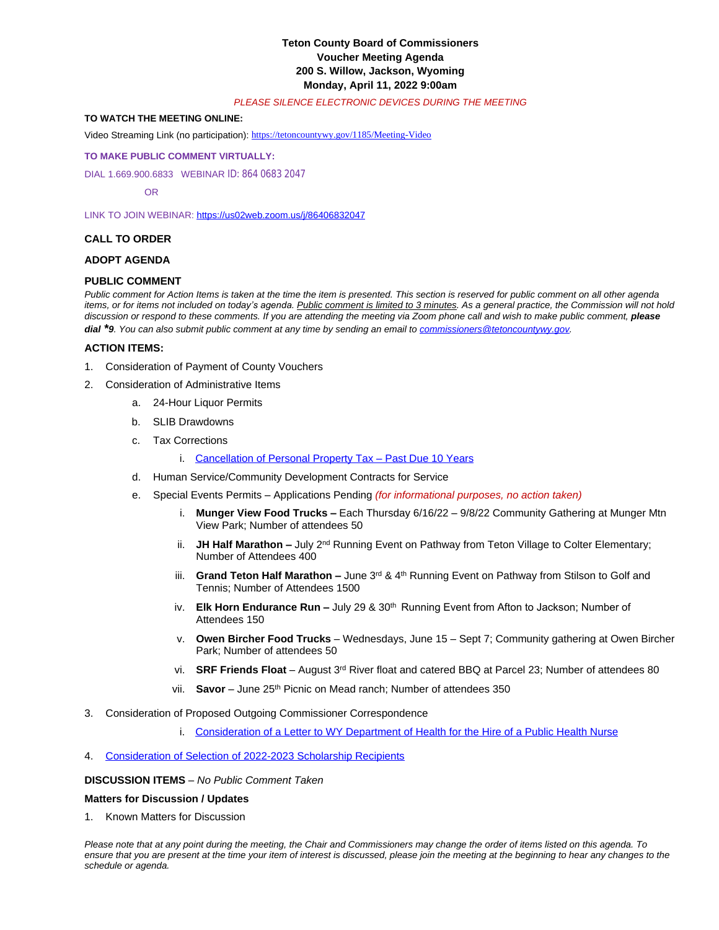# **Teton County Board of Commissioners Voucher Meeting Agenda 200 S. Willow, Jackson, Wyoming Monday, April 11, 2022 9:00am**

#### *PLEASE SILENCE ELECTRONIC DEVICES DURING THE MEETING*

## **TO WATCH THE MEETING ONLINE:**

Video Streaming Link (no participation): <https://tetoncountywy.gov/1185/Meeting-Video>

#### **[TO MAKE PUBLIC COMMENT VIRTUALLY:](https://tetoncountywy.gov/1185/Meeting-Video)**

[DIAL 1.669.900.6833 WEBINAR](https://tetoncountywy.gov/1185/Meeting-Video) [ID:](https://tetoncountywy.gov/1185/Meeting-Video) [864 0683 2047](https://tetoncountywy.gov/1185/Meeting-Video)

 [OR](https://tetoncountywy.gov/1185/Meeting-Video)

[LINK TO JOIN WEBINAR:](https://tetoncountywy.gov/1185/Meeting-Video) <https://us02web.zoom.us/j/86406832047>

## **CALL TO ORDER**

#### **ADOPT AGENDA**

#### **PUBLIC COMMENT**

*Public comment for Action Items is taken at the time the item is presented. This section is reserved for public comment on all other agenda*  items, or for items not included on today's agenda. Public comment is limited to 3 minutes. As a general practice, the Commission will not hold discussion or respond to these comments. If you are attending the meeting via Zoom phone call and wish to make public comment, *please dial \*9. You can also submit public comment at any time by sending an email to [commissioners@tetoncountywy.gov.](mailto:commissioners@tetoncountywy.gov)*

### **[ACTION ITEMS:](mailto:commissioners@tetoncountywy.gov)**

- 1. [Consideration of](mailto:commissioners@tetoncountywy.gov) [Payment](mailto:commissioners@tetoncountywy.gov) [of County Vouchers](mailto:commissioners@tetoncountywy.gov)
- 2. [Consideration of Administrative Items](mailto:commissioners@tetoncountywy.gov)
	- a. [24-Hour Liquor Permits](mailto:commissioners@tetoncountywy.gov)
		- b. [SLIB](mailto:commissioners@tetoncountywy.gov) [Drawdowns](mailto:commissioners@tetoncountywy.gov)
		- c. [Tax Corrections](mailto:commissioners@tetoncountywy.gov)
			- i. [Cancellation of Personal Property Tax](https://tetoncountywy.gov/DocumentCenter/View/21833/0411-Cancellation-of-Personal-Property-Tax-2) - [Past Due 10 Years](https://tetoncountywy.gov/DocumentCenter/View/21833/0411-Cancellation-of-Personal-Property-Tax-2)
		- d. [Human Service/Community Development Contracts for Service](https://tetoncountywy.gov/DocumentCenter/View/21833/0411-Cancellation-of-Personal-Property-Tax-2)
		- e. [Special Events Permits](https://tetoncountywy.gov/DocumentCenter/View/21833/0411-Cancellation-of-Personal-Property-Tax-2)  [Applications Pending](https://tetoncountywy.gov/DocumentCenter/View/21833/0411-Cancellation-of-Personal-Property-Tax-2) *[\(for informational purposes, no action taken\)](https://tetoncountywy.gov/DocumentCenter/View/21833/0411-Cancellation-of-Personal-Property-Tax-2)*
			- i. **[Munger View Food Trucks](https://tetoncountywy.gov/DocumentCenter/View/21833/0411-Cancellation-of-Personal-Property-Tax-2) –** Each Thursday 6/16/22 – [9/8/22 Community Gathering at Munger Mtn](https://tetoncountywy.gov/DocumentCenter/View/21833/0411-Cancellation-of-Personal-Property-Tax-2)  [View Park; Number of attendees 50](https://tetoncountywy.gov/DocumentCenter/View/21833/0411-Cancellation-of-Personal-Property-Tax-2)
			- ii. **[JH Half Marathon](https://tetoncountywy.gov/DocumentCenter/View/21833/0411-Cancellation-of-Personal-Property-Tax-2) –** [July 2](https://tetoncountywy.gov/DocumentCenter/View/21833/0411-Cancellation-of-Personal-Property-Tax-2)<sup>[nd](https://tetoncountywy.gov/DocumentCenter/View/21833/0411-Cancellation-of-Personal-Property-Tax-2)</sup> Running Event on Pathway from Teton Village to Colter Elementary; [Number of Attendees 400](https://tetoncountywy.gov/DocumentCenter/View/21833/0411-Cancellation-of-Personal-Property-Tax-2)
			- iii. **[Grand Teton Half Marathon](https://tetoncountywy.gov/DocumentCenter/View/21833/0411-Cancellation-of-Personal-Property-Tax-2) –** [June 3](https://tetoncountywy.gov/DocumentCenter/View/21833/0411-Cancellation-of-Personal-Property-Tax-2)<sup>[rd](https://tetoncountywy.gov/DocumentCenter/View/21833/0411-Cancellation-of-Personal-Property-Tax-2)</sup> [& 4](https://tetoncountywy.gov/DocumentCenter/View/21833/0411-Cancellation-of-Personal-Property-Tax-2)<sup>[th](https://tetoncountywy.gov/DocumentCenter/View/21833/0411-Cancellation-of-Personal-Property-Tax-2)</sup> Running Event on Pathway from Stilson to Golf and [Tennis; Number of Attendees 1500](https://tetoncountywy.gov/DocumentCenter/View/21833/0411-Cancellation-of-Personal-Property-Tax-2)
			- iv. **[Elk Horn Endurance Run](https://tetoncountywy.gov/DocumentCenter/View/21833/0411-Cancellation-of-Personal-Property-Tax-2) -** [July 29 & 30](https://tetoncountywy.gov/DocumentCenter/View/21833/0411-Cancellation-of-Personal-Property-Tax-2)<sup>th</sup> Running Event from Afton to Jackson; Number of [Attendees 150](https://tetoncountywy.gov/DocumentCenter/View/21833/0411-Cancellation-of-Personal-Property-Tax-2)
			- v. **[Owen Bircher Food Trucks](https://tetoncountywy.gov/DocumentCenter/View/21833/0411-Cancellation-of-Personal-Property-Tax-2)** Wednesdays, June 15 – [Sept 7; Community gathering at Owen Bircher](https://tetoncountywy.gov/DocumentCenter/View/21833/0411-Cancellation-of-Personal-Property-Tax-2) [Park; Number of attendees 50](https://tetoncountywy.gov/DocumentCenter/View/21833/0411-Cancellation-of-Personal-Property-Tax-2)
			- vi. **[SRF Friends Float](https://tetoncountywy.gov/DocumentCenter/View/21833/0411-Cancellation-of-Personal-Property-Tax-2)** – [August 3](https://tetoncountywy.gov/DocumentCenter/View/21833/0411-Cancellation-of-Personal-Property-Tax-2)[rd](https://tetoncountywy.gov/DocumentCenter/View/21833/0411-Cancellation-of-Personal-Property-Tax-2) [River float and catered BBQ at Parcel 23; Number of attendees 80](https://tetoncountywy.gov/DocumentCenter/View/21833/0411-Cancellation-of-Personal-Property-Tax-2)
			- vii. **[Savor](https://tetoncountywy.gov/DocumentCenter/View/21833/0411-Cancellation-of-Personal-Property-Tax-2)** – [June 25](https://tetoncountywy.gov/DocumentCenter/View/21833/0411-Cancellation-of-Personal-Property-Tax-2)<sup>[th](https://tetoncountywy.gov/DocumentCenter/View/21833/0411-Cancellation-of-Personal-Property-Tax-2)</sup> [Picnic on Mead ranch; Number of attendees 350](https://tetoncountywy.gov/DocumentCenter/View/21833/0411-Cancellation-of-Personal-Property-Tax-2)
- 3. [Consideration of](https://tetoncountywy.gov/DocumentCenter/View/21833/0411-Cancellation-of-Personal-Property-Tax-2) [Proposed Outgoing Commissioner Correspondence](https://tetoncountywy.gov/DocumentCenter/View/21833/0411-Cancellation-of-Personal-Property-Tax-2)
	- i. [Consideration of a Letter to WY Department of Health for the Hire of a Public Health Nurse](https://tetoncountywy.gov/DocumentCenter/View/21837/Dept-of-Health-Approval-Public-Health-Nurse)

## 4. [Consideration of Selection of 2022-2023 Scholarship Recipients](https://tetoncountywy.gov/DocumentCenter/View/21835/04114-2022-Scholarship-Awards)

#### **DISCUSSION ITEMS** *– No Public Comment Taken*

## **Matters for Discussion / Updates**

1. Known Matters for Discussion

*Please note that at any point during the meeting, the Chair and Commissioners may change the order of items listed on this agenda. To ensure that you are present at the time your item of interest is discussed, please join the meeting at the beginning to hear any changes to the schedule or agenda.*